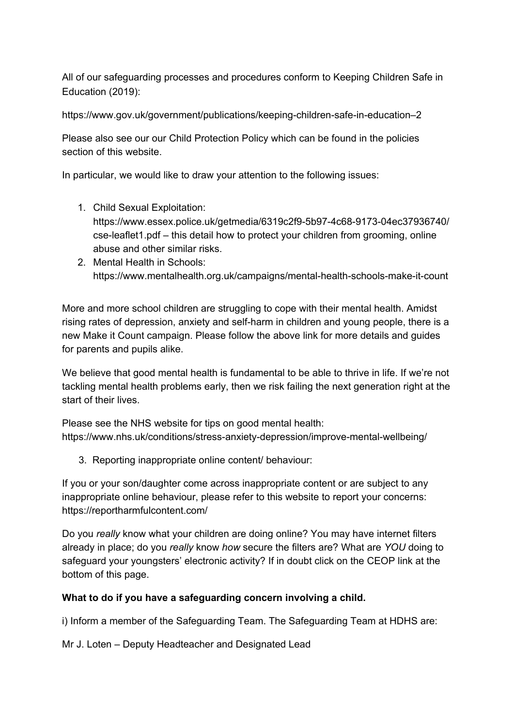All of our safeguarding processes and procedures conform to Keeping Children Safe in Education (2019):

[https://www.gov.uk/government/publications/keeping-children-safe-in-education–2](https://www.gov.uk/government/publications/keeping-children-safe-in-education--2)

Please also see our our Child Protection Policy which can be found in the policies section of this website.

In particular, we would like to draw your attention to the following issues:

- 1. Child Sexual Exploitation: [https://www.essex.police.uk/getmedia/6319c2f9-5b97-4c68-9173-04ec37936740/](https://www.essex.police.uk/getmedia/6319c2f9-5b97-4c68-9173-04ec37936740/cse-leaflet1.pdf) [cse-leaflet1.pdf](https://www.essex.police.uk/getmedia/6319c2f9-5b97-4c68-9173-04ec37936740/cse-leaflet1.pdf) – this detail how to protect your children from grooming, online abuse and other similar risks.
- 2. Mental Health in Schools: <https://www.mentalhealth.org.uk/campaigns/mental-health-schools-make-it-count>

More and more school children are struggling to cope with their mental health. Amidst rising rates of depression, anxiety and self-harm in children and young people, there is a new Make it Count campaign. Please follow the above link for more details and guides for parents and pupils alike.

We believe that good mental health is fundamental to be able to thrive in life. If we're not tackling mental health problems early, then we risk failing the next generation right at the start of their lives.

Please see the NHS website for tips on good mental health: <https://www.nhs.uk/conditions/stress-anxiety-depression/improve-mental-wellbeing/>

3. Reporting inappropriate online content/ behaviour:

If you or your son/daughter come across inappropriate content or are subject to any inappropriate online behaviour, please refer to this website to report your concerns: <https://reportharmfulcontent.com/>

Do you *really* know what your children are doing online? You may have internet filters already in place; do you *really* know *how* secure the filters are? What are *YOU* doing to safeguard your youngsters' electronic activity? If in doubt click on the CEOP link at the bottom of this page.

## **What to do if you have a safeguarding concern involving a child.**

i) Inform a member of the Safeguarding Team. The Safeguarding Team at HDHS are:

Mr J. Loten – Deputy Headteacher and Designated Lead